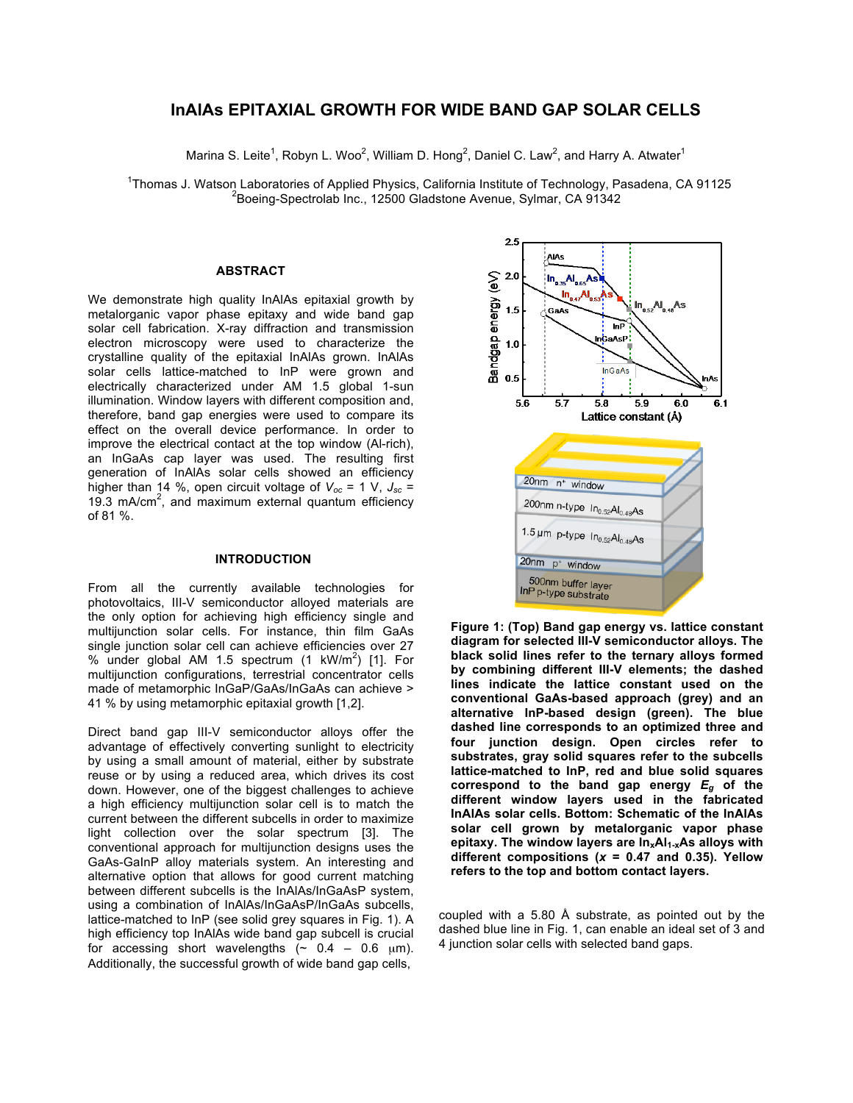# **InAlAs EPITAXIAL GROWTH FOR WIDE BAND GAP SOLAR CELLS**

Marina S. Leite<sup>1</sup>, Robyn L. Woo<sup>2</sup>, William D. Hong<sup>2</sup>, Daniel C. Law<sup>2</sup>, and Harry A. Atwater<sup>1</sup>

<sup>1</sup>Thomas J. Watson Laboratories of Applied Physics, California Institute of Technology, Pasadena, CA 91125<br><sup>2</sup>Registe Prestraight line 12500 Cladetane Avenue Sylmer CA 91243  $^2$ Boeing-Spectrolab Inc., 12500 Gladstone Avenue, Sylmar, CA 91342

## **ABSTRACT**

We demonstrate high quality InAlAs epitaxial growth by metalorganic vapor phase epitaxy and wide band gap solar cell fabrication. X-ray diffraction and transmission electron microscopy were used to characterize the crystalline quality of the epitaxial InAlAs grown. InAlAs solar cells lattice-matched to InP were grown and electrically characterized under AM 1.5 global 1-sun illumination. Window layers with different composition and, therefore, band gap energies were used to compare its effect on the overall device performance. In order to improve the electrical contact at the top window (Al-rich), an InGaAs cap layer was used. The resulting first generation of InAlAs solar cells showed an efficiency higher than 14 %, open circuit voltage of  $V_{oc}$  = 1 V,  $J_{sc}$  = 19.3 mA/cm<sup>2</sup>, and maximum external quantum efficiency of 81 %.

## **INTRODUCTION**

From all the currently available technologies for photovoltaics, III-V semiconductor alloyed materials are the only option for achieving high efficiency single and multijunction solar cells. For instance, thin film GaAs single junction solar cell can achieve efficiencies over 27 % under global AM 1.5 spectrum  $(1 \text{ kW/m}^2)$  [1]. For multijunction configurations, terrestrial concentrator cells made of metamorphic InGaP/GaAs/InGaAs can achieve > 41 % by using metamorphic epitaxial growth [1,2].

Direct band gap III-V semiconductor alloys offer the advantage of effectively converting sunlight to electricity by using a small amount of material, either by substrate reuse or by using a reduced area, which drives its cost down. However, one of the biggest challenges to achieve a high efficiency multijunction solar cell is to match the current between the different subcells in order to maximize light collection over the solar spectrum [3]. The conventional approach for multijunction designs uses the GaAs-GaInP alloy materials system. An interesting and alternative option that allows for good current matching between different subcells is the InAlAs/InGaAsP system, using a combination of InAlAs/InGaAsP/InGaAs subcells, lattice-matched to InP (see solid grey squares in Fig. 1). A high efficiency top InAlAs wide band gap subcell is crucial for accessing short wavelengths  $($   $\sim$  0.4  $-$  0.6  $\mu$ m). Additionally, the successful growth of wide band gap cells.



**Figure 1: (Top) Band gap energy vs. lattice constant diagram for selected III-V semiconductor alloys. The black solid lines refer to the ternary alloys formed by combining different III-V elements; the dashed lines indicate the lattice constant used on the conventional GaAs-based approach (grey) and an alternative InP-based design (green). The blue dashed line corresponds to an optimized three and four junction design. Open circles refer to substrates, gray solid squares refer to the subcells lattice-matched to InP, red and blue solid squares correspond to the band gap energy** *Eg* **of the different window layers used in the fabricated InAlAs solar cells. Bottom: Schematic of the InAlAs solar cell grown by metalorganic vapor phase**  epitaxy. The window layers are  $In_xAl_{1-x}As$  alloys with **different compositions (***x* **= 0.47 and 0.35). Yellow refers to the top and bottom contact layers.** 

coupled with a 5.80 Å substrate, as pointed out by the dashed blue line in Fig. 1, can enable an ideal set of 3 and 4 junction solar cells with selected band gaps.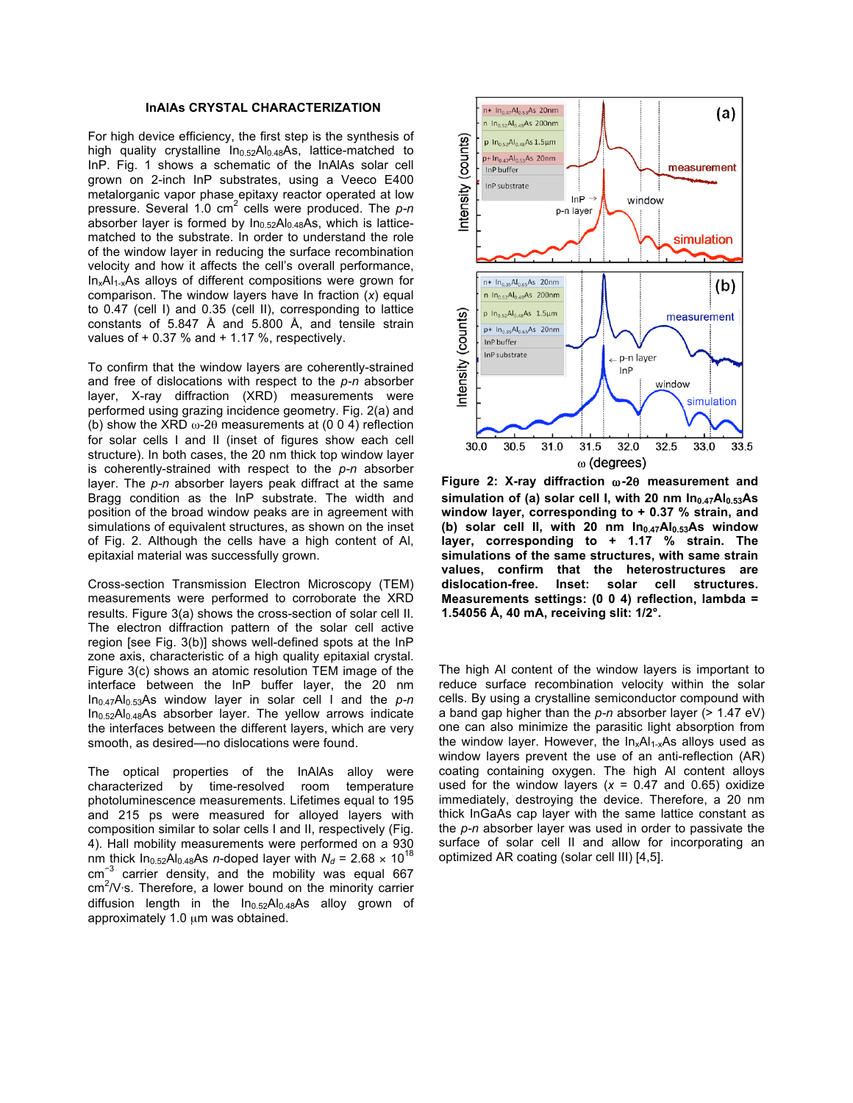### **InAlAs CRYSTAL CHARACTERIZATION**

For high device efficiency, the first step is the synthesis of high quality crystalline  $In<sub>0.52</sub>Al<sub>0.48</sub>As, lattice-matched to$ InP. Fig. 1 shows a schematic of the InAlAs solar cell grown on 2-inch InP substrates, using a Veeco E400 metalorganic vapor phase epitaxy reactor operated at low pressure. Several 1.0 cm<sup>2</sup> cells were produced. The *p-n* absorber layer is formed by  $In_{0.52}Al_{0.48}As$ , which is latticematched to the substrate. In order to understand the role of the window layer in reducing the surface recombination velocity and how it affects the cell's overall performance,  $In_xAl_{1-x}As$  alloys of different compositions were grown for comparison. The window layers have In fraction (*x*) equal to 0.47 (cell I) and 0.35 (cell II), corresponding to lattice constants of 5.847 Å and 5.800 Å, and tensile strain values of  $+0.37$  % and  $+1.17$  %, respectively.

To confirm that the window layers are coherently-strained and free of dislocations with respect to the *p-n* absorber layer, X-ray diffraction (XRD) measurements were performed using grazing incidence geometry. Fig. 2(a) and (b) show the XRD  $\omega$ -2 $\theta$  measurements at (0 0 4) reflection for solar cells I and II (inset of figures show each cell structure). In both cases, the 20 nm thick top window layer is coherently-strained with respect to the *p-n* absorber layer. The *p-n* absorber layers peak diffract at the same Bragg condition as the InP substrate. The width and position of the broad window peaks are in agreement with simulations of equivalent structures, as shown on the inset of Fig. 2. Although the cells have a high content of Al, epitaxial material was successfully grown.

Cross-section Transmission Electron Microscopy (TEM) measurements were performed to corroborate the XRD results. Figure 3(a) shows the cross-section of solar cell II. The electron diffraction pattern of the solar cell active region [see Fig. 3(b)] shows well-defined spots at the InP zone axis, characteristic of a high quality epitaxial crystal. Figure 3(c) shows an atomic resolution TEM image of the interface between the InP buffer layer, the 20 nm In0.47Al0.53As window layer in solar cell I and the *p-n*  $In<sub>0.52</sub>Al<sub>0.48</sub>As absorber layer. The yellow arrows indicate$ the interfaces between the different layers, which are very smooth, as desired—no dislocations were found.

The optical properties of the InAlAs alloy were characterized by time-resolved room temperature photoluminescence measurements. Lifetimes equal to 195 and 215 ps were measured for alloyed layers with composition similar to solar cells I and II, respectively (Fig. 4). Hall mobility measurements were performed on a 930 nm thick  $In_{0.52}Al_{0.48}As$  *n*-doped layer with  $N_d = 2.68 \times 10^{18}$ cm<sup>−</sup><sup>3</sup> carrier density, and the mobility was equal 667  $\text{cm}^2$ /V⋅s. Therefore, a lower bound on the minority carrier diffusion length in the In<sub>0.52</sub>Al<sub>0.48</sub>As alloy grown of approximately 1.0 µm was obtained.



**Figure 2: X-ray diffraction** ω**-2**θ **measurement and**  simulation of (a) solar cell I, with 20 nm In<sub>0.47</sub>Al<sub>0.53</sub>As **window layer, corresponding to + 0.37 % strain, and**  (b) solar cell II, with 20 nm In<sub>0.47</sub>Al<sub>0.53</sub>As window **layer, corresponding to + 1.17 % strain. The simulations of the same structures, with same strain values, confirm that the heterostructures are dislocation-free. Inset: solar cell structures. Measurements settings: (0 0 4) reflection, lambda = 1.54056 Å, 40 mA, receiving slit: 1/2°.**

The high Al content of the window layers is important to reduce surface recombination velocity within the solar cells. By using a crystalline semiconductor compound with a band gap higher than the *p-n* absorber layer (> 1.47 eV) one can also minimize the parasitic light absorption from the window layer. However, the  $In_xAl_{1-x}As$  alloys used as window layers prevent the use of an anti-reflection (AR) coating containing oxygen. The high Al content alloys used for the window layers  $(x = 0.47$  and 0.65) oxidize immediately, destroying the device. Therefore, a 20 nm thick InGaAs cap layer with the same lattice constant as the *p-n* absorber layer was used in order to passivate the surface of solar cell II and allow for incorporating an optimized AR coating (solar cell III) [4,5].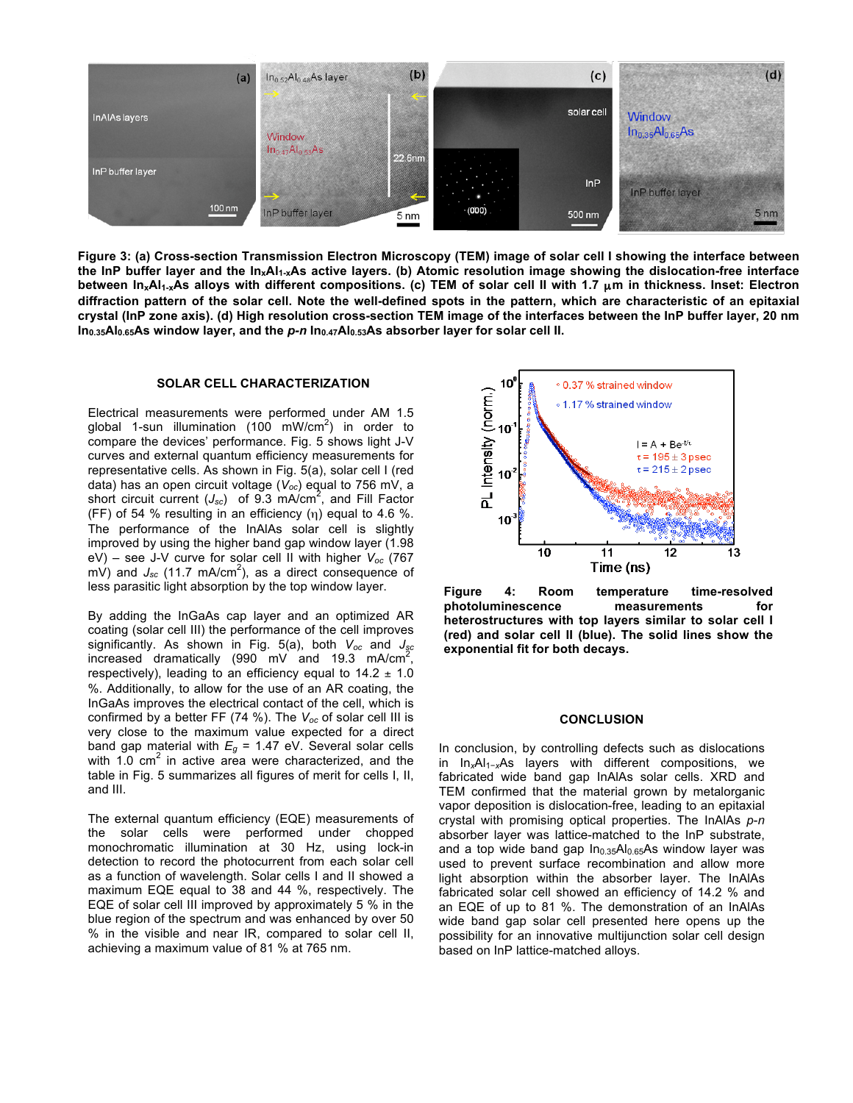

**Figure 3: (a) Cross-section Transmission Electron Microscopy (TEM) image of solar cell I showing the interface between the InP buffer layer and the InxAl1-xAs active layers. (b) Atomic resolution image showing the dislocation-free interface between InxAl1-xAs alloys with different compositions. (c) TEM of solar cell II with 1.7** µ**m in thickness. Inset: Electron diffraction pattern of the solar cell. Note the well-defined spots in the pattern, which are characteristic of an epitaxial crystal (InP zone axis). (d) High resolution cross-section TEM image of the interfaces between the InP buffer layer, 20 nm In0.35Al0.65As window layer, and the** *p-n* **In0.47Al0.53As absorber layer for solar cell II.**

#### **SOLAR CELL CHARACTERIZATION**

Electrical measurements were performed under AM 1.5 global 1-sun illumination (100 mW/cm<sup>2</sup>) in order to compare the devices' performance. Fig. 5 shows light J-V curves and external quantum efficiency measurements for representative cells. As shown in Fig. 5(a), solar cell I (red data) has an open circuit voltage (*Voc*) equal to 756 mV, a short circuit current (*Jsc*) of 9.3 mA/cm<sup>2</sup> , and Fill Factor (FF) of 54 % resulting in an efficiency  $(\eta)$  equal to 4.6 %. The performance of the InAlAs solar cell is slightly improved by using the higher band gap window layer (1.98 eV) – see J-V curve for solar cell II with higher *Voc* (767  $\overline{mV}$ ) and  $J_{sc}$  (11.7 mA/cm<sup>2</sup>), as a direct consequence of less parasitic light absorption by the top window layer.

By adding the InGaAs cap layer and an optimized AR coating (solar cell III) the performance of the cell improves significantly. As shown in Fig. 5(a), both *Voc* and *Jsc* increased dramatically (990 mV and 19.3 mA/cm<sup>2</sup>, respectively), leading to an efficiency equal to  $14.2 \pm 1.0$ %. Additionally, to allow for the use of an AR coating, the InGaAs improves the electrical contact of the cell, which is confirmed by a better FF (74 %). The *Voc* of solar cell III is very close to the maximum value expected for a direct band gap material with  $E_g = 1.47$  eV. Several solar cells with  $1.0$  cm<sup>2</sup> in active area were characterized, and the table in Fig. 5 summarizes all figures of merit for cells I, II, and III.

The external quantum efficiency (EQE) measurements of the solar cells were performed under chopped monochromatic illumination at 30 Hz, using lock-in detection to record the photocurrent from each solar cell as a function of wavelength. Solar cells I and II showed a maximum EQE equal to 38 and 44 %, respectively. The EQE of solar cell III improved by approximately 5 % in the blue region of the spectrum and was enhanced by over 50 % in the visible and near IR, compared to solar cell II, achieving a maximum value of 81 % at 765 nm.



**Figure 4: Room temperature time-resolved photoluminescence measurements for heterostructures with top layers similar to solar cell I (red) and solar cell II (blue). The solid lines show the exponential fit for both decays.** 

#### **CONCLUSION**

In conclusion, by controlling defects such as dislocations in In*x*Al1−*x*As layers with different compositions, we fabricated wide band gap InAlAs solar cells. XRD and TEM confirmed that the material grown by metalorganic vapor deposition is dislocation-free, leading to an epitaxial crystal with promising optical properties. The InAlAs *p*-*n*  absorber layer was lattice-matched to the InP substrate, and a top wide band gap In<sub>0.35</sub>Al<sub>0.65</sub>As window layer was used to prevent surface recombination and allow more light absorption within the absorber layer. The InAlAs fabricated solar cell showed an efficiency of 14.2 % and an EQE of up to 81 %. The demonstration of an InAlAs wide band gap solar cell presented here opens up the possibility for an innovative multijunction solar cell design based on InP lattice-matched alloys.